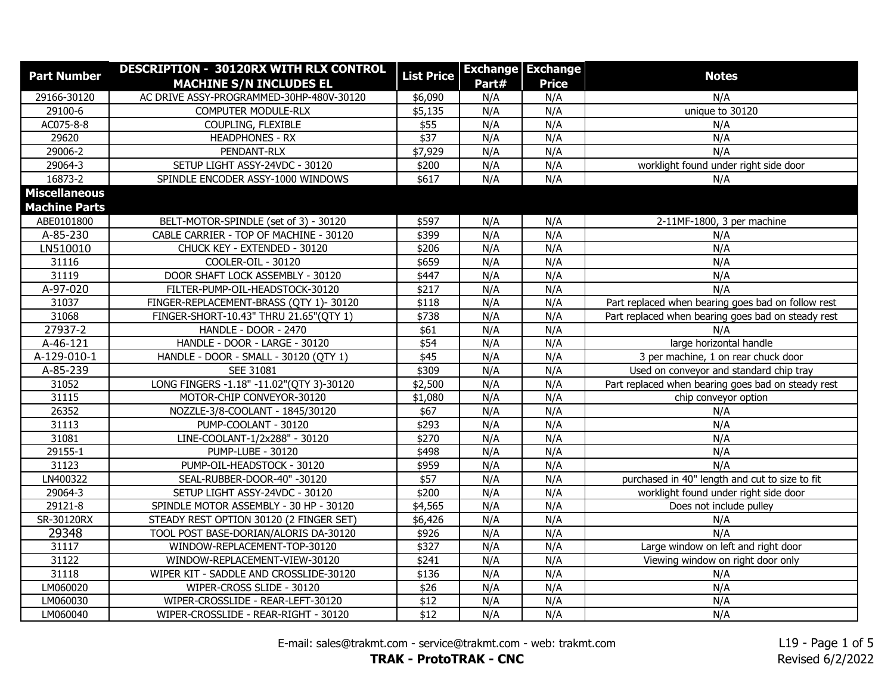| <b>Part Number</b>   | DESCRIPTION - 30120RX WITH RLX CONTROL   | <b>List Price</b> |       | <b>Exchange Exchange</b> | <b>Notes</b>                                       |
|----------------------|------------------------------------------|-------------------|-------|--------------------------|----------------------------------------------------|
|                      | <b>MACHINE S/N INCLUDES EL</b>           |                   | Part# | <b>Price</b>             |                                                    |
| 29166-30120          | AC DRIVE ASSY-PROGRAMMED-30HP-480V-30120 | \$6,090           | N/A   | N/A                      | N/A                                                |
| 29100-6              | COMPUTER MODULE-RLX                      | \$5,135           | N/A   | N/A                      | unique to 30120                                    |
| AC075-8-8            | COUPLING, FLEXIBLE                       | \$55              | N/A   | N/A                      | N/A                                                |
| 29620                | <b>HEADPHONES - RX</b>                   | \$37              | N/A   | N/A                      | N/A                                                |
| 29006-2              | PENDANT-RLX                              | \$7,929           | N/A   | N/A                      | N/A                                                |
| 29064-3              | SETUP LIGHT ASSY-24VDC - 30120           | \$200             | N/A   | N/A                      | worklight found under right side door              |
| 16873-2              | SPINDLE ENCODER ASSY-1000 WINDOWS        | \$617             | N/A   | N/A                      | N/A                                                |
| <b>Miscellaneous</b> |                                          |                   |       |                          |                                                    |
| <b>Machine Parts</b> |                                          |                   |       |                          |                                                    |
| ABE0101800           | BELT-MOTOR-SPINDLE (set of 3) - 30120    | \$597             | N/A   | N/A                      | 2-11MF-1800, 3 per machine                         |
| A-85-230             | CABLE CARRIER - TOP OF MACHINE - 30120   | \$399             | N/A   | N/A                      | N/A                                                |
| LN510010             | CHUCK KEY - EXTENDED - 30120             | \$206             | N/A   | N/A                      | N/A                                                |
| 31116                | COOLER-OIL - 30120                       | \$659             | N/A   | N/A                      | N/A                                                |
| 31119                | DOOR SHAFT LOCK ASSEMBLY - 30120         | \$447             | N/A   | N/A                      | N/A                                                |
| A-97-020             | FILTER-PUMP-OIL-HEADSTOCK-30120          | \$217             | N/A   | N/A                      | N/A                                                |
| 31037                | FINGER-REPLACEMENT-BRASS (QTY 1)-30120   | \$118             | N/A   | N/A                      | Part replaced when bearing goes bad on follow rest |
| 31068                | FINGER-SHORT-10.43" THRU 21.65"(QTY 1)   | \$738             | N/A   | N/A                      | Part replaced when bearing goes bad on steady rest |
| 27937-2              | HANDLE - DOOR - 2470                     | \$61              | N/A   | N/A                      | N/A                                                |
| A-46-121             | HANDLE - DOOR - LARGE - 30120            | \$54              | N/A   | N/A                      | large horizontal handle                            |
| A-129-010-1          | HANDLE - DOOR - SMALL - 30120 (QTY 1)    | \$45              | N/A   | N/A                      | 3 per machine, 1 on rear chuck door                |
| A-85-239             | SEE 31081                                | \$309             | N/A   | N/A                      | Used on conveyor and standard chip tray            |
| 31052                | LONG FINGERS -1.18" -11.02"(QTY 3)-30120 | \$2,500           | N/A   | N/A                      | Part replaced when bearing goes bad on steady rest |
| 31115                | MOTOR-CHIP CONVEYOR-30120                | \$1,080           | N/A   | N/A                      | chip conveyor option                               |
| 26352                | NOZZLE-3/8-COOLANT - 1845/30120          | \$67              | N/A   | N/A                      | N/A                                                |
| 31113                | PUMP-COOLANT - 30120                     | \$293             | N/A   | N/A                      | N/A                                                |
| 31081                | LINE-COOLANT-1/2x288" - 30120            | $\sqrt{$270}$     | N/A   | N/A                      | N/A                                                |
| 29155-1              | <b>PUMP-LUBE - 30120</b>                 | \$498             | N/A   | N/A                      | N/A                                                |
| 31123                | PUMP-OIL-HEADSTOCK - 30120               | \$959             | N/A   | N/A                      | N/A                                                |
| LN400322             | SEAL-RUBBER-DOOR-40" -30120              | \$57              | N/A   | N/A                      | purchased in 40" length and cut to size to fit     |
| 29064-3              | SETUP LIGHT ASSY-24VDC - 30120           | \$200             | N/A   | N/A                      | worklight found under right side door              |
| 29121-8              | SPINDLE MOTOR ASSEMBLY - 30 HP - 30120   | \$4,565           | N/A   | N/A                      | Does not include pulley                            |
| SR-30120RX           | STEADY REST OPTION 30120 (2 FINGER SET)  | \$6,426           | N/A   | N/A                      | N/A                                                |
| 29348                | TOOL POST BASE-DORIAN/ALORIS DA-30120    | \$926             | N/A   | N/A                      | N/A                                                |
| 31117                | WINDOW-REPLACEMENT-TOP-30120             | \$327             | N/A   | N/A                      | Large window on left and right door                |
| 31122                | WINDOW-REPLACEMENT-VIEW-30120            | \$241             | N/A   | N/A                      | Viewing window on right door only                  |
| 31118                | WIPER KIT - SADDLE AND CROSSLIDE-30120   | \$136             | N/A   | N/A                      | N/A                                                |
| LM060020             | WIPER-CROSS SLIDE - 30120                | \$26              | N/A   | N/A                      | N/A                                                |
| LM060030             | WIPER-CROSSLIDE - REAR-LEFT-30120        | \$12              | N/A   | N/A                      | N/A                                                |
| LM060040             | WIPER-CROSSLIDE - REAR-RIGHT - 30120     | \$12              | N/A   | N/A                      | N/A                                                |

E-mail: sales@trakmt.com - service@trakmt.com - web: trakmt.com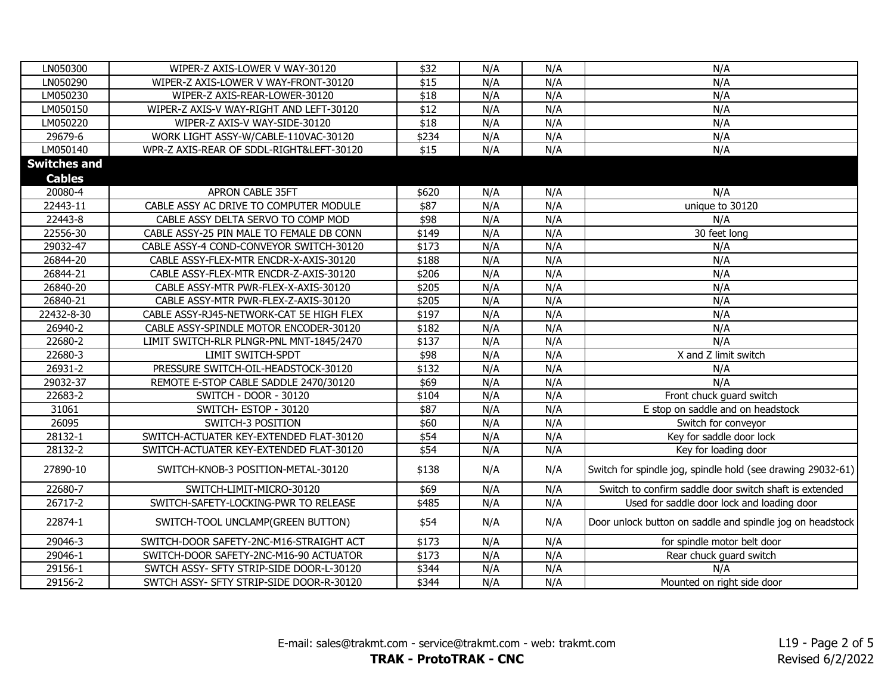| LN050300            | WIPER-Z AXIS-LOWER V WAY-30120           | \$32  | N/A | N/A | N/A                                                         |
|---------------------|------------------------------------------|-------|-----|-----|-------------------------------------------------------------|
| LN050290            | WIPER-Z AXIS-LOWER V WAY-FRONT-30120     | \$15  | N/A | N/A | N/A                                                         |
| LM050230            | WIPER-Z AXIS-REAR-LOWER-30120            | \$18  | N/A | N/A | N/A                                                         |
| LM050150            | WIPER-Z AXIS-V WAY-RIGHT AND LEFT-30120  | \$12  | N/A | N/A | N/A                                                         |
| LM050220            | WIPER-Z AXIS-V WAY-SIDE-30120            | \$18  | N/A | N/A | N/A                                                         |
| 29679-6             | WORK LIGHT ASSY-W/CABLE-110VAC-30120     | \$234 | N/A | N/A | N/A                                                         |
| LM050140            | WPR-Z AXIS-REAR OF SDDL-RIGHT&LEFT-30120 | \$15  | N/A | N/A | N/A                                                         |
| <b>Switches and</b> |                                          |       |     |     |                                                             |
| <b>Cables</b>       |                                          |       |     |     |                                                             |
| 20080-4             | APRON CABLE 35FT                         | \$620 | N/A | N/A | N/A                                                         |
| 22443-11            | CABLE ASSY AC DRIVE TO COMPUTER MODULE   | \$87  | N/A | N/A | unique to 30120                                             |
| 22443-8             | CABLE ASSY DELTA SERVO TO COMP MOD       | \$98  | N/A | N/A | N/A                                                         |
| 22556-30            | CABLE ASSY-25 PIN MALE TO FEMALE DB CONN | \$149 | N/A | N/A | 30 feet long                                                |
| 29032-47            | CABLE ASSY-4 COND-CONVEYOR SWITCH-30120  | \$173 | N/A | N/A | N/A                                                         |
| 26844-20            | CABLE ASSY-FLEX-MTR ENCDR-X-AXIS-30120   | \$188 | N/A | N/A | N/A                                                         |
| 26844-21            | CABLE ASSY-FLEX-MTR ENCDR-Z-AXIS-30120   | \$206 | N/A | N/A | N/A                                                         |
| 26840-20            | CABLE ASSY-MTR PWR-FLEX-X-AXIS-30120     | \$205 | N/A | N/A | N/A                                                         |
| 26840-21            | CABLE ASSY-MTR PWR-FLEX-Z-AXIS-30120     | \$205 | N/A | N/A | N/A                                                         |
| 22432-8-30          | CABLE ASSY-RJ45-NETWORK-CAT 5E HIGH FLEX | \$197 | N/A | N/A | N/A                                                         |
| 26940-2             | CABLE ASSY-SPINDLE MOTOR ENCODER-30120   | \$182 | N/A | N/A | N/A                                                         |
| 22680-2             | LIMIT SWITCH-RLR PLNGR-PNL MNT-1845/2470 | \$137 | N/A | N/A | N/A                                                         |
| 22680-3             | LIMIT SWITCH-SPDT                        | \$98  | N/A | N/A | X and Z limit switch                                        |
| 26931-2             | PRESSURE SWITCH-OIL-HEADSTOCK-30120      | \$132 | N/A | N/A | N/A                                                         |
| 29032-37            | REMOTE E-STOP CABLE SADDLE 2470/30120    | \$69  | N/A | N/A | N/A                                                         |
| 22683-2             | SWITCH - DOOR - 30120                    | \$104 | N/A | N/A | Front chuck guard switch                                    |
| 31061               | SWITCH-ESTOP - 30120                     | \$87  | N/A | N/A | E stop on saddle and on headstock                           |
| 26095               | SWITCH-3 POSITION                        | \$60  | N/A | N/A | Switch for conveyor                                         |
| 28132-1             | SWITCH-ACTUATER KEY-EXTENDED FLAT-30120  | \$54  | N/A | N/A | Key for saddle door lock                                    |
| 28132-2             | SWITCH-ACTUATER KEY-EXTENDED FLAT-30120  | \$54  | N/A | N/A | Key for loading door                                        |
| 27890-10            | SWITCH-KNOB-3 POSITION-METAL-30120       | \$138 | N/A | N/A | Switch for spindle jog, spindle hold (see drawing 29032-61) |
| 22680-7             | SWITCH-LIMIT-MICRO-30120                 | \$69  | N/A | N/A | Switch to confirm saddle door switch shaft is extended      |
| 26717-2             | SWITCH-SAFETY-LOCKING-PWR TO RELEASE     | \$485 | N/A | N/A | Used for saddle door lock and loading door                  |
| 22874-1             | SWITCH-TOOL UNCLAMP(GREEN BUTTON)        | \$54  | N/A | N/A | Door unlock button on saddle and spindle jog on headstock   |
| 29046-3             | SWITCH-DOOR SAFETY-2NC-M16-STRAIGHT ACT  | \$173 | N/A | N/A | for spindle motor belt door                                 |
| 29046-1             | SWITCH-DOOR SAFETY-2NC-M16-90 ACTUATOR   | \$173 | N/A | N/A | Rear chuck guard switch                                     |
| 29156-1             | SWTCH ASSY- SFTY STRIP-SIDE DOOR-L-30120 | \$344 | N/A | N/A | N/A                                                         |
| 29156-2             | SWTCH ASSY- SFTY STRIP-SIDE DOOR-R-30120 | \$344 | N/A | N/A | Mounted on right side door                                  |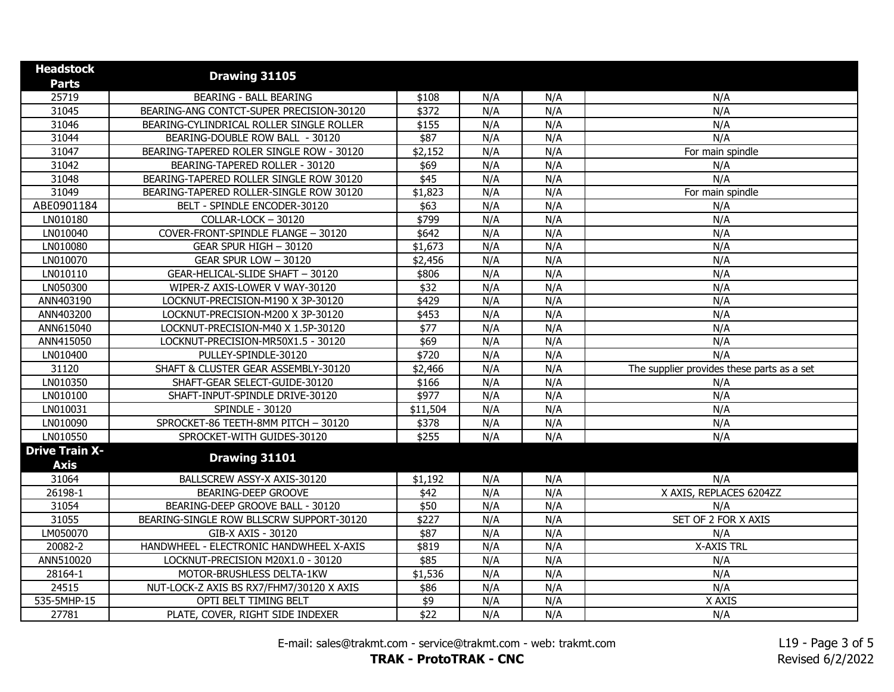| <b>Headstock</b><br><b>Parts</b>     | Drawing 31105                            |              |     |     |                                            |
|--------------------------------------|------------------------------------------|--------------|-----|-----|--------------------------------------------|
| 25719                                | <b>BEARING - BALL BEARING</b>            | \$108        | N/A | N/A | N/A                                        |
| 31045                                | BEARING-ANG CONTCT-SUPER PRECISION-30120 | \$372        | N/A | N/A | N/A                                        |
| 31046                                | BEARING-CYLINDRICAL ROLLER SINGLE ROLLER | \$155        | N/A | N/A | N/A                                        |
| 31044                                | BEARING-DOUBLE ROW BALL - 30120          | $\sqrt{$87}$ | N/A | N/A | N/A                                        |
| 31047                                | BEARING-TAPERED ROLER SINGLE ROW - 30120 | \$2,152      | N/A | N/A | For main spindle                           |
| 31042                                | BEARING-TAPERED ROLLER - 30120           | \$69         | N/A | N/A | N/A                                        |
| 31048                                | BEARING-TAPERED ROLLER SINGLE ROW 30120  | \$45         | N/A | N/A | N/A                                        |
| 31049                                | BEARING-TAPERED ROLLER-SINGLE ROW 30120  | \$1,823      | N/A | N/A | For main spindle                           |
| ABE0901184                           | BELT - SPINDLE ENCODER-30120             | \$63         | N/A | N/A | N/A                                        |
| LN010180                             | COLLAR-LOCK - 30120                      | \$799        | N/A | N/A | N/A                                        |
| LN010040                             | COVER-FRONT-SPINDLE FLANGE - 30120       | \$642        | N/A | N/A | N/A                                        |
| LN010080                             | GEAR SPUR HIGH - 30120                   | \$1,673      | N/A | N/A | N/A                                        |
| LN010070                             | GEAR SPUR LOW - 30120                    | \$2,456      | N/A | N/A | N/A                                        |
| LN010110                             | GEAR-HELICAL-SLIDE SHAFT - 30120         | \$806        | N/A | N/A | N/A                                        |
| LN050300                             | WIPER-Z AXIS-LOWER V WAY-30120           | \$32         | N/A | N/A | N/A                                        |
| ANN403190                            | LOCKNUT-PRECISION-M190 X 3P-30120        | \$429        | N/A | N/A | N/A                                        |
| ANN403200                            | LOCKNUT-PRECISION-M200 X 3P-30120        | \$453        | N/A | N/A | N/A                                        |
| ANN615040                            | LOCKNUT-PRECISION-M40 X 1.5P-30120       | \$77         | N/A | N/A | N/A                                        |
| ANN415050                            | LOCKNUT-PRECISION-MR50X1.5 - 30120       | \$69         | N/A | N/A | N/A                                        |
| LN010400                             | PULLEY-SPINDLE-30120                     | \$720        | N/A | N/A | N/A                                        |
| 31120                                | SHAFT & CLUSTER GEAR ASSEMBLY-30120      | \$2,466      | N/A | N/A | The supplier provides these parts as a set |
| LN010350                             | SHAFT-GEAR SELECT-GUIDE-30120            | \$166        | N/A | N/A | N/A                                        |
| LN010100                             | SHAFT-INPUT-SPINDLE DRIVE-30120          | \$977        | N/A | N/A | N/A                                        |
| LN010031                             | <b>SPINDLE - 30120</b>                   | \$11,504     | N/A | N/A | N/A                                        |
| LN010090                             | SPROCKET-86 TEETH-8MM PITCH - 30120      | \$378        | N/A | N/A | N/A                                        |
| LN010550                             | SPROCKET-WITH GUIDES-30120               | \$255        | N/A | N/A | N/A                                        |
| <b>Drive Train X-</b><br><b>Axis</b> | Drawing 31101                            |              |     |     |                                            |
| 31064                                | BALLSCREW ASSY-X AXIS-30120              | \$1,192      | N/A | N/A | N/A                                        |
| 26198-1                              | <b>BEARING-DEEP GROOVE</b>               | \$42         | N/A | N/A | X AXIS, REPLACES 6204ZZ                    |
| 31054                                | BEARING-DEEP GROOVE BALL - 30120         | \$50         | N/A | N/A | N/A                                        |
| 31055                                | BEARING-SINGLE ROW BLLSCRW SUPPORT-30120 | \$227        | N/A | N/A | SET OF 2 FOR X AXIS                        |
| LM050070                             | GIB-X AXIS - 30120                       | \$87         | N/A | N/A | N/A                                        |
| 20082-2                              | HANDWHEEL - ELECTRONIC HANDWHEEL X-AXIS  | \$819        | N/A | N/A | <b>X-AXIS TRL</b>                          |
| ANN510020                            | LOCKNUT-PRECISION M20X1.0 - 30120        | \$85         | N/A | N/A | N/A                                        |
| 28164-1                              | MOTOR-BRUSHLESS DELTA-1KW                | \$1,536      | N/A | N/A | N/A                                        |
| 24515                                | NUT-LOCK-Z AXIS BS RX7/FHM7/30120 X AXIS | \$86         | N/A | N/A | N/A                                        |
| 535-5MHP-15                          | OPTI BELT TIMING BELT                    | \$9          | N/A | N/A | X AXIS                                     |
| 27781                                | PLATE, COVER, RIGHT SIDE INDEXER         | \$22         | N/A | N/A | N/A                                        |

E-mail: sales@trakmt.com - service@trakmt.com - web: trakmt.com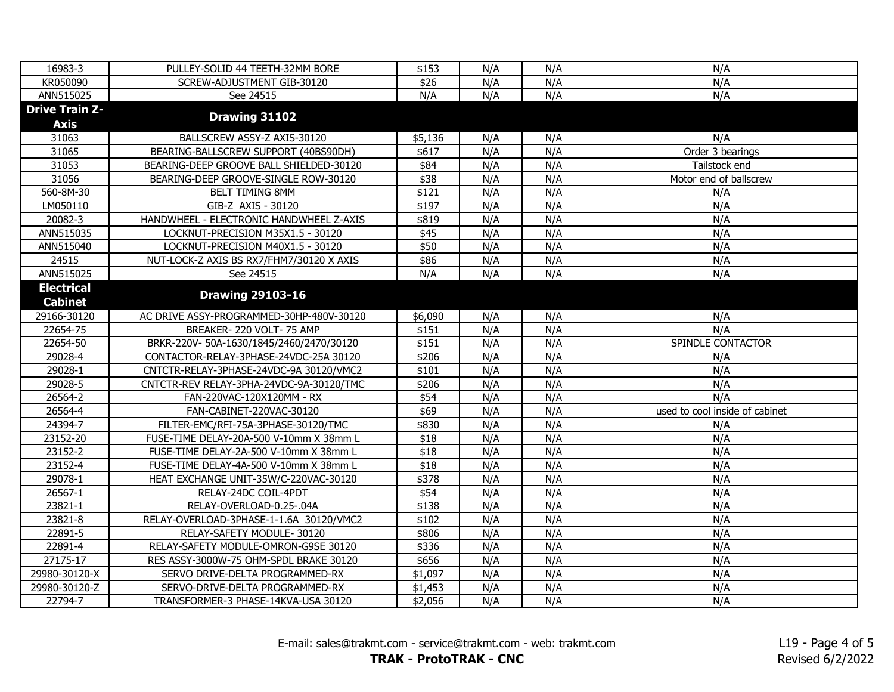| 16983-3               | PULLEY-SOLID 44 TEETH-32MM BORE          | \$153   | N/A | N/A | N/A                            |
|-----------------------|------------------------------------------|---------|-----|-----|--------------------------------|
| KR050090              | SCREW-ADJUSTMENT GIB-30120               | \$26    | N/A | N/A | N/A                            |
| ANN515025             | See 24515                                | N/A     | N/A | N/A | N/A                            |
| <b>Drive Train Z-</b> |                                          |         |     |     |                                |
| <b>Axis</b>           | Drawing 31102                            |         |     |     |                                |
| 31063                 | BALLSCREW ASSY-Z AXIS-30120              | \$5,136 | N/A | N/A | N/A                            |
| 31065                 | BEARING-BALLSCREW SUPPORT (40BS90DH)     | \$617   | N/A | N/A | Order 3 bearings               |
| 31053                 | BEARING-DEEP GROOVE BALL SHIELDED-30120  | \$84    | N/A | N/A | Tailstock end                  |
| 31056                 | BEARING-DEEP GROOVE-SINGLE ROW-30120     | \$38    | N/A | N/A | Motor end of ballscrew         |
| 560-8M-30             | BELT TIMING 8MM                          | \$121   | N/A | N/A | N/A                            |
| LM050110              | GIB-Z AXIS - 30120                       | \$197   | N/A | N/A | N/A                            |
| 20082-3               | HANDWHEEL - ELECTRONIC HANDWHEEL Z-AXIS  | \$819   | N/A | N/A | N/A                            |
| ANN515035             | LOCKNUT-PRECISION M35X1.5 - 30120        | \$45    | N/A | N/A | N/A                            |
| ANN515040             | LOCKNUT-PRECISION M40X1.5 - 30120        | \$50    | N/A | N/A | N/A                            |
| 24515                 | NUT-LOCK-Z AXIS BS RX7/FHM7/30120 X AXIS | \$86    | N/A | N/A | N/A                            |
| ANN515025             | See 24515                                | N/A     | N/A | N/A | N/A                            |
| <b>Electrical</b>     |                                          |         |     |     |                                |
| <b>Cabinet</b>        | <b>Drawing 29103-16</b>                  |         |     |     |                                |
| 29166-30120           | AC DRIVE ASSY-PROGRAMMED-30HP-480V-30120 | \$6,090 | N/A | N/A | N/A                            |
| 22654-75              | BREAKER-220 VOLT-75 AMP                  | \$151   | N/A | N/A | N/A                            |
| 22654-50              | BRKR-220V-50A-1630/1845/2460/2470/30120  | \$151   | N/A | N/A | SPINDLE CONTACTOR              |
| 29028-4               | CONTACTOR-RELAY-3PHASE-24VDC-25A 30120   | \$206   | N/A | N/A | N/A                            |
| 29028-1               | CNTCTR-RELAY-3PHASE-24VDC-9A 30120/VMC2  | \$101   | N/A | N/A | N/A                            |
| 29028-5               | CNTCTR-REV RELAY-3PHA-24VDC-9A-30120/TMC | \$206   | N/A | N/A | N/A                            |
| 26564-2               | FAN-220VAC-120X120MM - RX                | \$54    | N/A | N/A | N/A                            |
| 26564-4               | FAN-CABINET-220VAC-30120                 | \$69    | N/A | N/A | used to cool inside of cabinet |
| 24394-7               | FILTER-EMC/RFI-75A-3PHASE-30120/TMC      | \$830   | N/A | N/A | N/A                            |
| 23152-20              | FUSE-TIME DELAY-20A-500 V-10mm X 38mm L  | \$18    | N/A | N/A | N/A                            |
| 23152-2               | FUSE-TIME DELAY-2A-500 V-10mm X 38mm L   | \$18    | N/A | N/A | N/A                            |
| 23152-4               | FUSE-TIME DELAY-4A-500 V-10mm X 38mm L   | \$18    | N/A | N/A | N/A                            |
| 29078-1               | HEAT EXCHANGE UNIT-35W/C-220VAC-30120    | \$378   | N/A | N/A | N/A                            |
| 26567-1               | RELAY-24DC COIL-4PDT                     | \$54    | N/A | N/A | N/A                            |
| 23821-1               | RELAY-OVERLOAD-0.25-.04A                 | \$138   | N/A | N/A | N/A                            |
| 23821-8               | RELAY-OVERLOAD-3PHASE-1-1.6A 30120/VMC2  | \$102   | N/A | N/A | N/A                            |
| 22891-5               | RELAY-SAFETY MODULE- 30120               | \$806   | N/A | N/A | N/A                            |
| 22891-4               | RELAY-SAFETY MODULE-OMRON-G9SE 30120     | \$336   | N/A | N/A | N/A                            |
| 27175-17              | RES ASSY-3000W-75 OHM-SPDL BRAKE 30120   | \$656   | N/A | N/A | N/A                            |
| 29980-30120-X         | SERVO DRIVE-DELTA PROGRAMMED-RX          | \$1,097 | N/A | N/A | N/A                            |
| 29980-30120-Z         | SERVO-DRIVE-DELTA PROGRAMMED-RX          | \$1,453 | N/A | N/A | N/A                            |
| 22794-7               | TRANSFORMER-3 PHASE-14KVA-USA 30120      | \$2,056 | N/A | N/A | N/A                            |